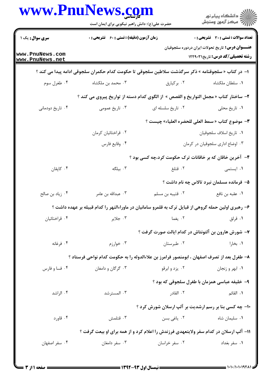|                                    | www.PnuNews.com<br>حضرت علی(ع): دانش راهبر نیکویی برای ایمان است                                     |                   | ِ<br>∭ دانشڪاه پيام نور<br>∭ مرڪز آزمون وسنڊش                                                     |  |
|------------------------------------|------------------------------------------------------------------------------------------------------|-------------------|---------------------------------------------------------------------------------------------------|--|
| <b>سری سوال :</b> یک ۱             | <b>زمان آزمون (دقیقه) : تستی : 60 ٪ تشریحی : 0</b>                                                   |                   | <b>تعداد سوالات : تستی : 30 ٪ تشریحی : 0</b>                                                      |  |
| www.PnuNews.com<br>www.PnuNews.net |                                                                                                      |                   | <b>عنـــوان درس:</b> تاریخ تحولات ایران دردوره سلجوقیان<br><b>رشته تحصیلی/کد درس:</b> تاریخ۲۲۹۰۳۱ |  |
|                                    | ا– در کتاب « سلجوقنامه » ذکر سرگذشت سلاطین سلجوقی تا حکومت کدام حکمران سلجوقی ادامه پیدا می کند ؟    |                   |                                                                                                   |  |
| ۰۴ طغرل سوم                        | ۰۳ محمد بن ملکشاه                                                                                    | ۰۲ برکیارق        | ٠١. سلطان ملكشاه                                                                                  |  |
|                                    | ۲- ساختار کتاب « مجمل التواريخ و القصص » از الگوی کدام دسته از تواريخ پيروی می کند ؟                 |                   |                                                                                                   |  |
| ۰۴ تاریخ دودمانی                   | ۰۳ تاریخ عمومی                                                                                       | ۰۲ تاريخ سلسله ای | ٠١ تاريخ محلي                                                                                     |  |
|                                    | ٣- موضوع كتاب « سمط العلى للحضره العلياء» چيست ؟                                                     |                   |                                                                                                   |  |
|                                    | ۰۲ قراختائیان کرمان                                                                                  |                   | ٠١ تاريخ اسلاف سلجوقيان                                                                           |  |
|                                    | ۴. وقايع فارس                                                                                        |                   | ۰۳ اوضاع اداری سلجوقیان در کرمان                                                                  |  |
|                                    |                                                                                                      |                   | ۴- آخرین خاقان که بر خاقانات ترک حکومت کرد،چه کسی بود ؟                                           |  |
| ۰۴ کاپقان                          | ۰۳ بیلگه                                                                                             | ۰۲ قتلغ           | ۰۱ ایستمی                                                                                         |  |
|                                    |                                                                                                      |                   | ۵- فرمانده مسلمان نبرد تالاس چه نام داشت ؟                                                        |  |
| ۰۴ زیاد بن صالح                    | ۰۳ عبدالله بن عامر                                                                                   | ۰۲ قتیبه بن مسلم  | ٠١ عقبه بن نافع                                                                                   |  |
|                                    | ۶– رهبری اولین حمله گروهی از قبایل ترک به قلمرو سامانیان در ماوراءالنهر را کدام قبیله بر عهده داشت ؟ |                   |                                                                                                   |  |
| ۰۴ قراختائیان                      | ۰۳ جلاير                                                                                             | ۰۲ یغما           | ۰۱ قرلق                                                                                           |  |
|                                    |                                                                                                      |                   | ۷- شورش هارون بن آلتونتاش در کدام ایالت صورت گرفت ؟                                               |  |
| ۰۴ فرغانه                          | ۰۳ خوارزم                                                                                            | ۰۲ طبرستان        | ۰۱ بخارا                                                                                          |  |
|                                    | ۸– طغرل بعد از تصرف اصفهان ، ابومنصور فرامرز بن علاءالدوله را به حکومت کدام نواحی فرستاد ؟           |                   |                                                                                                   |  |
| ۰۴ فسا و فارس                      | ۰۳ گرگان و دامغان                                                                                    | ۰۲ یزد و ابرقو    | ۰۱ ابهر و زنجان                                                                                   |  |
|                                    |                                                                                                      |                   | ۹- خلیفه عباسی همزمان با طغرل سلجوقی که بود ؟                                                     |  |
| ۰۴ الراشد                          | ۰۳ المسترشد                                                                                          | ۰۲ القادر         | <b>۱</b> . القائم                                                                                 |  |
|                                    |                                                                                                      |                   | ۱۰- چه کسی بنا بر رسم ارشدیت بر آلپ ارسلان شورش کرد ؟                                             |  |
| ۰۴ قاورد                           | ۰۳ قتلمش                                                                                             | ۰۲ یاغی بسن       | ۰۱ سلیمان شاه                                                                                     |  |
|                                    | 1۱- آلپ ارسلان در کدام سفر ولایتعهدی فرزندش را اعلام کرد و از همه برای او بیعت گرفت ؟                |                   |                                                                                                   |  |
| ۰۴ سفر اصفهان                      | ۰۳ سفر دامغان                                                                                        | ۰۲ سفر خراسان     | ۰۱ سفر بغداد                                                                                      |  |

= 1 - 1 - / 1 - 1 - 1 9 7 1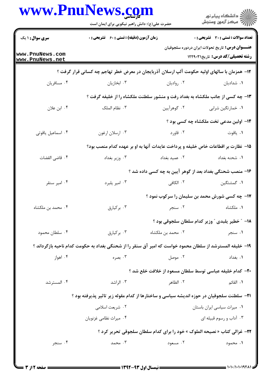|                                    |                                                                                                           | ِ<br>∭ دانشڪاه پيام نور<br>∭ مرڪز آزمون وسنڊش<br>حضرت علی(ع): دانش راهبر نیکویی برای ایمان است |                                                                                                         |  |
|------------------------------------|-----------------------------------------------------------------------------------------------------------|------------------------------------------------------------------------------------------------|---------------------------------------------------------------------------------------------------------|--|
| <b>سری سوال : ۱ یک</b>             | <b>زمان آزمون (دقیقه) : تستی : 60 ٪ تشریحی : 0</b>                                                        |                                                                                                | <b>تعداد سوالات : تستی : 30 ٪ تشریحی : 0</b>                                                            |  |
| www.PnuNews.com<br>www.PnuNews.net |                                                                                                           |                                                                                                | <b>عنـــوان درس:</b> تاریخ تحولات ایران دردوره سلجوقیان<br><b>رشته تحصیلی/کد درس:</b> تاریخ1229 ۱۲۲۹۰۳۱ |  |
|                                    | ۱۲– همزمان با سالهای اولیه حکومت آلپ ارسلان آذربایجان در معرض خطر تهاجم چه کسانی قرار گرفت ؟              |                                                                                                |                                                                                                         |  |
| ۰۴ مسافريان                        | ۰۳ ابخازیان                                                                                               | ۰۲ روادیان                                                                                     | ۰۱ شدادیان                                                                                              |  |
|                                    | ۱۳- چه کسی از جانب ملکشاه به بغداد رفت و منشور سلطنت ملکشاه را از خلیفه گرفت ؟                            |                                                                                                |                                                                                                         |  |
| ۰۴ ابن علان                        | ۰۳ نظام الملک                                                                                             | ۲. گوهراًيين                                                                                   | ۰۱ خمارتگین شرابی                                                                                       |  |
|                                    |                                                                                                           |                                                                                                | ۱۴– اولین مدعی تخت ملکشاه چه کسی بود ؟                                                                  |  |
| ۰۴ اسماعیل یاقوتی                  | ۰۳ ارسلان ارغون                                                                                           | ۰۲ قاورد                                                                                       | ٠١. ياقوت                                                                                               |  |
|                                    | 1۵– نظارت بر اقطاعات خاص خلیفه و پرداخت عایدات آنها به او بر عهده کدام منصب بود؟                          |                                                                                                |                                                                                                         |  |
| ۰۴ قاضی القضات                     | ۰۳ وزير بغداد                                                                                             | ٠٢ عميد بغداد                                                                                  | ۰۱ شحنه بغداد                                                                                           |  |
|                                    |                                                                                                           |                                                                                                | ۱۶– منصب شحنگی بغداد بعد از گوهر آیین به چه کسی داده شد ؟                                               |  |
| ۰۴ امیر سنقر                       | ۰۳ امير يلبرد                                                                                             | ۲. الکافی                                                                                      | ۰۱ گمشتگین                                                                                              |  |
|                                    |                                                                                                           |                                                                                                | ۱۷- چه کسی شورش محمد بن سلیمان را سرکوب نمود ؟                                                          |  |
| ۰۴ محمد بن ملکشاه                  | ۰۳ برکیارق                                                                                                |                                                                                                | ۰۱ ملکشاه د ۲۰۰ سنجر                                                                                    |  |
|                                    |                                                                                                           |                                                                                                | 1۸– ″ خطیر پلبدی ″ وزیر کدام سلطان سلجوقی بود ؟                                                         |  |
| ۰۴ سلطان محمود                     | ۰۳ برکیارق                                                                                                | ۰۲ محمد بن ملکشاه                                                                              | ۰۱ سنجر                                                                                                 |  |
|                                    | ۱۹– خلیفه المسترشد از سلطان محمود خواست که امیر آق سنقر را از شحنگی بغداد به حکومت کدام ناحیه بازگرداند ؟ |                                                                                                |                                                                                                         |  |
| ۰۴ اهواز                           | ۰۳ بصره                                                                                                   | ۰۲ موصل                                                                                        | ٠١. بغداد                                                                                               |  |
|                                    |                                                                                                           |                                                                                                | ٢٠- كدام خليفه عباسي توسط سلطان مسعود از خلافت خلع شد ؟                                                 |  |
| ۰۴ المسترشد                        | ۰۳ الراشد                                                                                                 | ۰۲ الظاهر                                                                                      | ٠١. القائم                                                                                              |  |
|                                    | <b>۲۱</b> - سلطنت سلجوقیان در حوزه اندیشه سیاسی و ساختارها از کدام مقوله زیر تاثیر پذیرفته بود ؟          |                                                                                                |                                                                                                         |  |
|                                    | ۰۲ شریعت اسلامی                                                                                           |                                                                                                | ٠١ ميراث سياسي ايران باستان                                                                             |  |
|                                    | ۰۴ میراث نظامی غزنویان                                                                                    |                                                                                                | ۰۳ آداب و رسوم قبیله ای                                                                                 |  |
|                                    |                                                                                                           |                                                                                                | 22- غزالی کتاب « نصیحه الملوک » خود را برای کدام سلطان سلجوقی تحریر کرد ؟                               |  |
| ۰۴ سنجر                            | ۰۳ محمد                                                                                                   | ۰۲ مسعود                                                                                       | ۰۱ محمود                                                                                                |  |